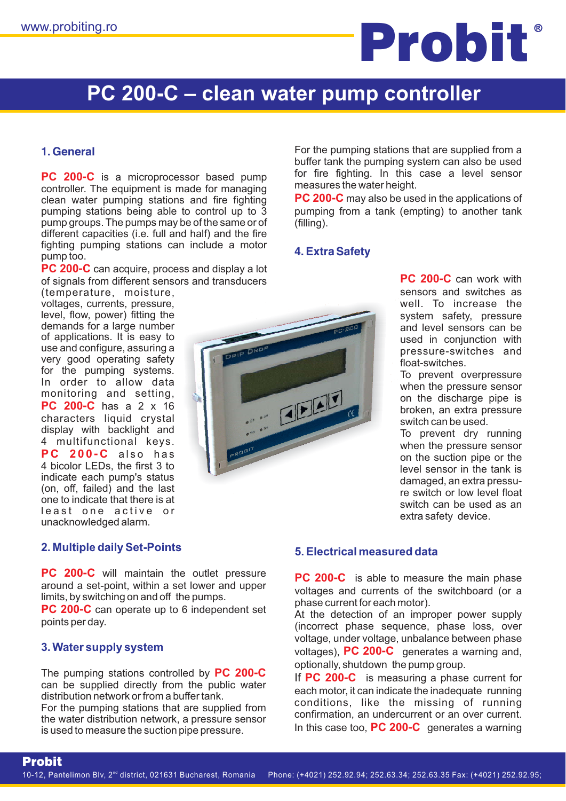

# **PC 200-C – clean water pump controller**

### **1. General**

**PC 200-C** is a microprocessor based pump controller. The equipment is made for managing clean water pumping stations and fire fighting pumping stations being able to control up to 3 pump groups. The pumps may be of the same or of different capacities (i.e. full and half) and the fire fighting pumping stations can include a motor pump too.

PC 200-C can acquire, process and display a lot of signals from different sensors and transducers

**PC 200 - C** has a 2 x 16 **P 200 - C C** also has (temperature, moisture, voltages, currents, pressure, level, flow, power) fitting the demands for a large number of applications. It is easy to use and configure, assuring a very good operating safety for the pumping systems. In order to allow data monitoring and setting, characters liquid crystal display with backlight and 4 multifunctional keys. 4 bicolor LEDs, the first 3 to indicate each pump's status (on, off, failed) and the last one to indicate that there is at least one active or unacknowledged alarm.

# E ELET

For the pumping stations that are supplied from a buffer tank the pumping system can also be used for fire fighting. In this case a level sensor measures the water height.

**PC 200-C** may also be used in the applications of pumping from a tank (empting) to another tank (filling).

### **4. Extra Safety**

**PC 200-C** can work with sensors and switches as well. To increase the system safety, pressure and level sensors can be used in conjunction with pressure-switches and float-switches.

To prevent overpressure when the pressure sensor on the discharge pipe is broken, an extra pressure switch can be used.

- damaged, an extra pressu To prevent dry running when the pressure sensor on the suction pipe or the level sensor in the tank is re switch or low level float switch can be used as an extra safety device.

**2. Multiple daily Set-Points**

**PC 200-C** will maintain the outlet pressure around a set-point, within a set lower and upper limits, by switching on and off the pumps.

PC 200-C can operate up to 6 independent set points per day.

### **3. Water supply system**

Probit

The pumping stations controlled by PC 200-C can be supplied directly from the public water distribution network or from a buffer tank.

For the pumping stations that are supplied from the water distribution network, a pressure sensor is used to measure the suction pipe pressure.

### **5. Electrical measured data**

**PC 200-C** is able to measure the main phase voltages and currents of the switchboard (or a phase current for each motor).

optionally, shutdown the pump group. At the detection of an improper power supply (incorrect phase sequence, phase loss, over voltage, under voltage, unbalance between phase voltages), PC 200-C generates a warning and,

each motor, it can indicate the inadequate running conditions, like the missing of running confirmation, an undercurrent or an over current. In this case too, PC 200-C generates a warning If PC 200-C is measuring a phase current for